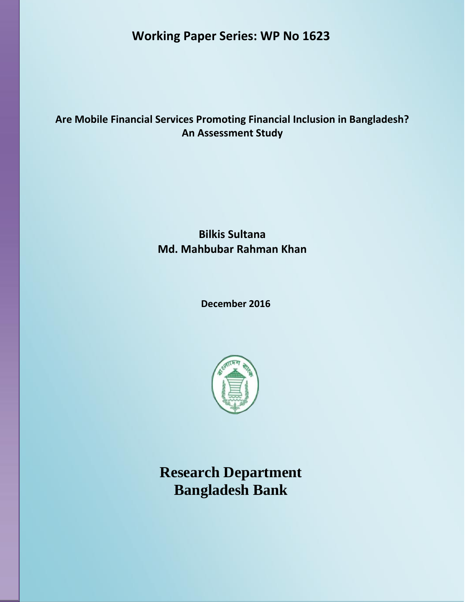**Working Paper Series: WP No 1623**

# **Are Mobile Financial Services Promoting Financial Inclusion in Bangladesh? An Assessment Study**

# **Bilkis Sultana Md. Mahbubar Rahman Khan**

 **December 2016**



**Research Department Bangladesh Bank**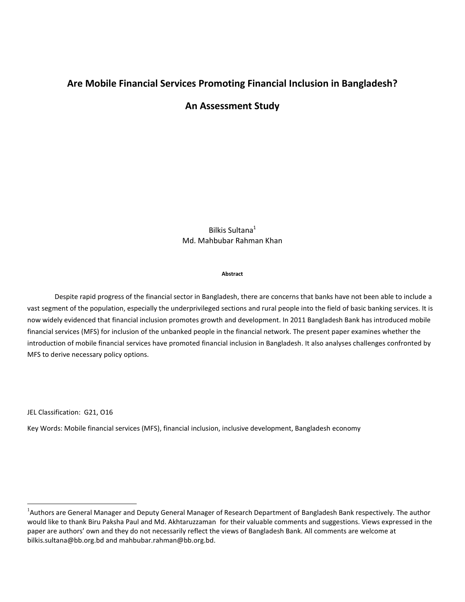## **Are Mobile Financial Services Promoting Financial Inclusion in Bangladesh?**

## **An Assessment Study**

Bilkis Sultana<sup>1</sup> Md. Mahbubar Rahman Khan

#### **Abstract**

Despite rapid progress of the financial sector in Bangladesh, there are concerns that banks have not been able to include a vast segment of the population, especially the underprivileged sections and rural people into the field of basic banking services. It is now widely evidenced that financial inclusion promotes growth and development. In 2011 Bangladesh Bank has introduced mobile financial services (MFS) for inclusion of the unbanked people in the financial network. The present paper examines whether the introduction of mobile financial services have promoted financial inclusion in Bangladesh. It also analyses challenges confronted by MFS to derive necessary policy options.

JEL Classification: G21, O16

 $\overline{a}$ 

Key Words: Mobile financial services (MFS), financial inclusion, inclusive development, Bangladesh economy

<sup>&</sup>lt;sup>1</sup>Authors are General Manager and Deputy General Manager of Research Department of Bangladesh Bank respectively. The author would like to thank Biru Paksha Paul and Md. Akhtaruzzaman for their valuable comments and suggestions. Views expressed in the paper are authors' own and they do not necessarily reflect the views of Bangladesh Bank. All comments are welcome at bilkis.sultana@bb.org.bd and mahbubar.rahman@bb.org.bd.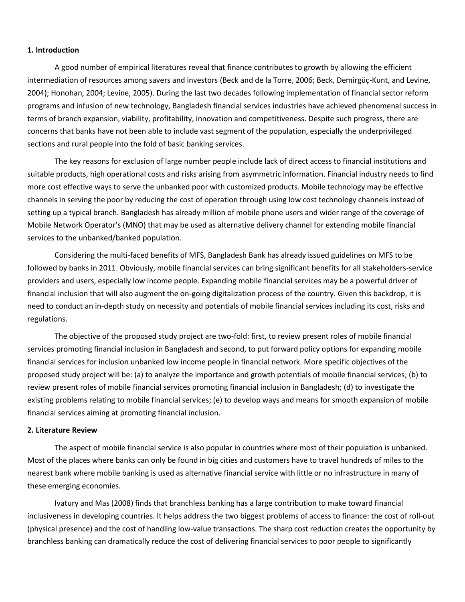#### **1. Introduction**

A good number of empirical literatures reveal that finance contributes to growth by allowing the efficient intermediation of resources among savers and investors (Beck and de la Torre, 2006; Beck, Demirgüç-Kunt, and Levine, 2004); Honohan, 2004; Levine, 2005). During the last two decades following implementation of financial sector reform programs and infusion of new technology, Bangladesh financial services industries have achieved phenomenal success in terms of branch expansion, viability, profitability, innovation and competitiveness. Despite such progress, there are concerns that banks have not been able to include vast segment of the population, especially the underprivileged sections and rural people into the fold of basic banking services.

The key reasons for exclusion of large number people include lack of direct access to financial institutions and suitable products, high operational costs and risks arising from asymmetric information. Financial industry needs to find more cost effective ways to serve the unbanked poor with customized products. Mobile technology may be effective channels in serving the poor by reducing the cost of operation through using low cost technology channels instead of setting up a typical branch. Bangladesh has already million of mobile phone users and wider range of the coverage of Mobile Network Operator's (MNO) that may be used as alternative delivery channel for extending mobile financial services to the unbanked/banked population.

Considering the multi-faced benefits of MFS, Bangladesh Bank has already issued guidelines on MFS to be followed by banks in 2011. Obviously, mobile financial services can bring significant benefits for all stakeholders-service providers and users, especially low income people. Expanding mobile financial services may be a powerful driver of financial inclusion that will also augment the on-going digitalization process of the country. Given this backdrop, it is need to conduct an in-depth study on necessity and potentials of mobile financial services including its cost, risks and regulations.

The objective of the proposed study project are two-fold: first, to review present roles of mobile financial services promoting financial inclusion in Bangladesh and second, to put forward policy options for expanding mobile financial services for inclusion unbanked low income people in financial network. More specific objectives of the proposed study project will be: (a) to analyze the importance and growth potentials of mobile financial services; (b) to review present roles of mobile financial services promoting financial inclusion in Bangladesh; (d) to investigate the existing problems relating to mobile financial services; (e) to develop ways and means for smooth expansion of mobile financial services aiming at promoting financial inclusion.

### **2. Literature Review**

The aspect of mobile financial service is also popular in countries where most of their population is unbanked. Most of the places where banks can only be found in big cities and customers have to travel hundreds of miles to the nearest bank where mobile banking is used as alternative financial service with little or no infrastructure in many of these emerging economies.

Ivatury and Mas (2008) finds that branchless banking has a large contribution to make toward financial inclusiveness in developing countries. It helps address the two biggest problems of access to finance: the cost of roll-out (physical presence) and the cost of handling low-value transactions. The sharp cost reduction creates the opportunity by branchless banking can dramatically reduce the cost of delivering financial services to poor people to significantly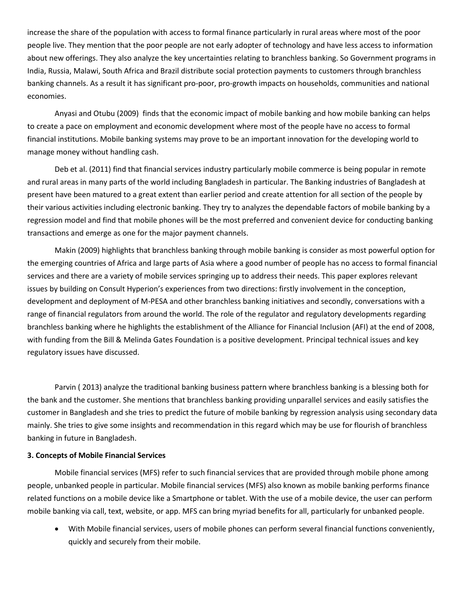increase the share of the population with access to formal finance particularly in rural areas where most of the poor people live. They mention that the poor people are not early adopter of technology and have less access to information about new offerings. They also analyze the key uncertainties relating to branchless banking. So Government programs in India, Russia, Malawi, South Africa and Brazil distribute social protection payments to customers through branchless banking channels. As a result it has significant pro-poor, pro-growth impacts on households, communities and national economies.

Anyasi and Otubu (2009) finds that the economic impact of mobile banking and how mobile banking can helps to create a pace on employment and economic development where most of the people have no access to formal financial institutions. Mobile banking systems may prove to be an important innovation for the developing world to manage money without handling cash.

Deb et al. (2011) find that financial services industry particularly mobile commerce is being popular in remote and rural areas in many parts of the world including Bangladesh in particular. The Banking industries of Bangladesh at present have been matured to a great extent than earlier period and create attention for all section of the people by their various activities including electronic banking. They try to analyzes the dependable factors of mobile banking by a regression model and find that mobile phones will be the most preferred and convenient device for conducting banking transactions and emerge as one for the major payment channels.

Makin (2009) highlights that branchless banking through mobile banking is consider as most powerful option for the emerging countries of Africa and large parts of Asia where a good number of people has no access to formal financial services and there are a variety of mobile services springing up to address their needs. This paper explores relevant issues by building on Consult Hyperion's experiences from two directions: firstly involvement in the conception, development and deployment of M-PESA and other branchless banking initiatives and secondly, conversations with a range of financial regulators from around the world. The role of the regulator and regulatory developments regarding branchless banking where he highlights the establishment of the Alliance for Financial Inclusion (AFI) at the end of 2008, with funding from the Bill & Melinda Gates Foundation is a positive development. Principal technical issues and key regulatory issues have discussed.

Parvin ( 2013) analyze the traditional banking business pattern where branchless banking is a blessing both for the bank and the customer. She mentions that branchless banking providing unparallel services and easily satisfies the customer in Bangladesh and she tries to predict the future of mobile banking by regression analysis using secondary data mainly. She tries to give some insights and recommendation in this regard which may be use for flourish of branchless banking in future in Bangladesh.

#### **3. Concepts of Mobile Financial Services**

Mobile financial services (MFS) refer to such financial services that are provided through mobile phone among people, unbanked people in particular. Mobile financial services (MFS) also known as mobile banking performs finance related functions on a mobile device like a Smartphone or tablet. With the use of a mobile device, the user can perform mobile banking via call, text, website, or app. MFS can bring myriad benefits for all, particularly for unbanked people.

 With Mobile financial services, users of mobile phones can perform several financial functions conveniently, quickly and securely from their mobile.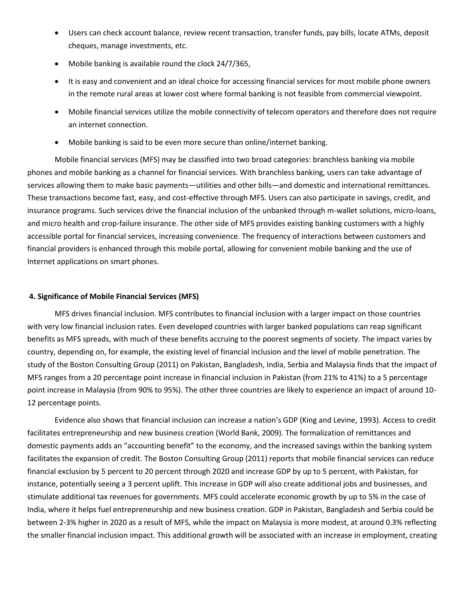- Users can check account balance, review recent transaction, transfer funds, pay bills, locate ATMs, deposit cheques, manage investments, etc.
- Mobile banking is available round the clock 24/7/365,
- It is easy and convenient and an ideal choice for accessing financial services for most mobile phone owners in the remote rural areas at lower cost where formal banking is not feasible from commercial viewpoint.
- Mobile financial services utilize the mobile connectivity of telecom operators and therefore does not require an internet connection.
- Mobile banking is said to be even more secure than online/internet banking.

Mobile financial services (MFS) may be classified into two broad categories: branchless banking via mobile phones and mobile banking as a channel for financial services. With branchless banking, users can take advantage of services allowing them to make basic payments—utilities and other bills—and domestic and international remittances. These transactions become fast, easy, and cost-effective through MFS. Users can also participate in savings, credit, and insurance programs. Such services drive the financial inclusion of the unbanked through m-wallet solutions, micro-loans, and micro health and crop-failure insurance. The other side of MFS provides existing banking customers with a highly accessible portal for financial services, increasing convenience. The frequency of interactions between customers and financial providers is enhanced through this mobile portal, allowing for convenient mobile banking and the use of Internet applications on smart phones.

#### **4. Significance of Mobile Financial Services (MFS)**

MFS drives financial inclusion. MFS contributes to financial inclusion with a larger impact on those countries with very low financial inclusion rates. Even developed countries with larger banked populations can reap significant benefits as MFS spreads, with much of these benefits accruing to the poorest segments of society. The impact varies by country, depending on, for example, the existing level of financial inclusion and the level of mobile penetration. The study of the Boston Consulting Group (2011) on Pakistan, Bangladesh, India, Serbia and Malaysia finds that the impact of MFS ranges from a 20 percentage point increase in financial inclusion in Pakistan (from 21% to 41%) to a 5 percentage point increase in Malaysia (from 90% to 95%). The other three countries are likely to experience an impact of around 10- 12 percentage points.

Evidence also shows that financial inclusion can increase a nation's GDP (King and Levine, 1993). Access to credit facilitates entrepreneurship and new business creation (World Bank, 2009). The formalization of remittances and domestic payments adds an "accounting benefit" to the economy, and the increased savings within the banking system facilitates the expansion of credit. The Boston Consulting Group (2011) reports that mobile financial services can reduce financial exclusion by 5 percent to 20 percent through 2020 and increase GDP by up to 5 percent, with Pakistan, for instance, potentially seeing a 3 percent uplift. This increase in GDP will also create additional jobs and businesses, and stimulate additional tax revenues for governments. MFS could accelerate economic growth by up to 5% in the case of India, where it helps fuel entrepreneurship and new business creation. GDP in Pakistan, Bangladesh and Serbia could be between 2-3% higher in 2020 as a result of MFS, while the impact on Malaysia is more modest, at around 0.3% reflecting the smaller financial inclusion impact. This additional growth will be associated with an increase in employment, creating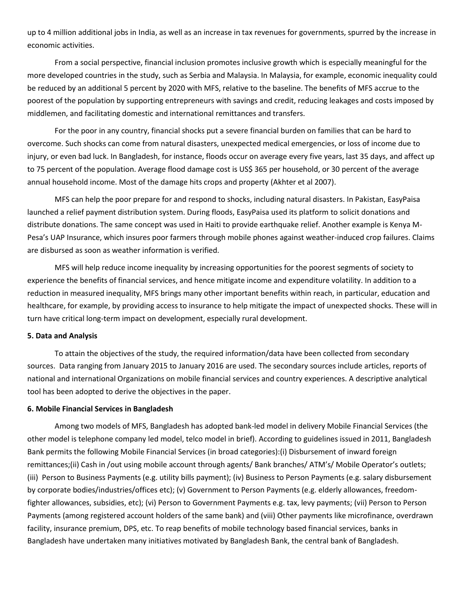up to 4 million additional jobs in India, as well as an increase in tax revenues for governments, spurred by the increase in economic activities.

From a social perspective, financial inclusion promotes inclusive growth which is especially meaningful for the more developed countries in the study, such as Serbia and Malaysia. In Malaysia, for example, economic inequality could be reduced by an additional 5 percent by 2020 with MFS, relative to the baseline. The benefits of MFS accrue to the poorest of the population by supporting entrepreneurs with savings and credit, reducing leakages and costs imposed by middlemen, and facilitating domestic and international remittances and transfers.

For the poor in any country, financial shocks put a severe financial burden on families that can be hard to overcome. Such shocks can come from natural disasters, unexpected medical emergencies, or loss of income due to injury, or even bad luck. In Bangladesh, for instance, floods occur on average every five years, last 35 days, and affect up to 75 percent of the population. Average flood damage cost is US\$ 365 per household, or 30 percent of the average annual household income. Most of the damage hits crops and property (Akhter et al 2007).

MFS can help the poor prepare for and respond to shocks, including natural disasters. In Pakistan, EasyPaisa launched a relief payment distribution system. During floods, EasyPaisa used its platform to solicit donations and distribute donations. The same concept was used in Haiti to provide earthquake relief. Another example is Kenya M-Pesa's UAP Insurance, which insures poor farmers through mobile phones against weather-induced crop failures. Claims are disbursed as soon as weather information is verified.

MFS will help reduce income inequality by increasing opportunities for the poorest segments of society to experience the benefits of financial services, and hence mitigate income and expenditure volatility. In addition to a reduction in measured inequality, MFS brings many other important benefits within reach, in particular, education and healthcare, for example, by providing access to insurance to help mitigate the impact of unexpected shocks. These will in turn have critical long-term impact on development, especially rural development.

#### **5. Data and Analysis**

To attain the objectives of the study, the required information/data have been collected from secondary sources. Data ranging from January 2015 to January 2016 are used. The secondary sources include articles, reports of national and international Organizations on mobile financial services and country experiences. A descriptive analytical tool has been adopted to derive the objectives in the paper.

#### **6. Mobile Financial Services in Bangladesh**

Among two models of MFS, Bangladesh has adopted bank-led model in delivery Mobile Financial Services (the other model is telephone company led model, telco model in brief). According to guidelines issued in 2011, Bangladesh Bank permits the following Mobile Financial Services (in broad categories):(i) Disbursement of inward foreign remittances;(ii) Cash in /out using mobile account through agents/ Bank branches/ ATM's/ Mobile Operator's outlets; (iii) Person to Business Payments (e.g. utility bills payment); (iv) Business to Person Payments (e.g. salary disbursement by corporate bodies/industries/offices etc); (v) Government to Person Payments (e.g. elderly allowances, freedomfighter allowances, subsidies, etc); (vi) Person to Government Payments e.g. tax, levy payments; (vii) Person to Person Payments (among registered account holders of the same bank) and (viii) Other payments like microfinance, overdrawn facility, insurance premium, DPS, etc. To reap benefits of mobile technology based financial services, banks in Bangladesh have undertaken many initiatives motivated by Bangladesh Bank, the central bank of Bangladesh.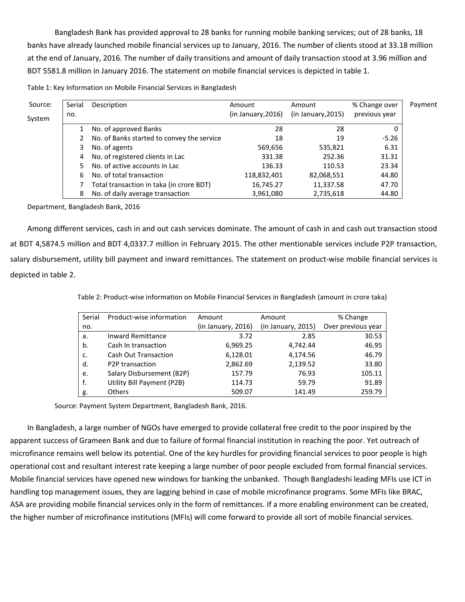Bangladesh Bank has provided approval to 28 banks for running mobile banking services; out of 28 banks, 18 banks have already launched mobile financial services up to January, 2016. The number of clients stood at 33.18 million at the end of January, 2016. The number of daily transitions and amount of daily transaction stood at 3.96 million and BDT 5581.8 million in January 2016. The statement on mobile financial services is depicted in table 1.

| Table 1: Key Information on Mobile Financial Services in Bangladesh |
|---------------------------------------------------------------------|
|---------------------------------------------------------------------|

| Source: | Serial | Description                                | Amount             | Amount             | % Change over | Payment |
|---------|--------|--------------------------------------------|--------------------|--------------------|---------------|---------|
| System  | no.    |                                            | (in January, 2016) | (in January, 2015) | previous year |         |
|         |        | No. of approved Banks                      | 28                 | 28                 | 0             |         |
|         |        | No. of Banks started to convey the service | 18                 | 19                 | $-5.26$       |         |
|         | 3.     | No. of agents                              | 569,656            | 535,821            | 6.31          |         |
|         | 4      | No. of registered clients in Lac           | 331.38             | 252.36             | 31.31         |         |
|         | 5.     | No. of active accounts in Lac              | 136.33             | 110.53             | 23.34         |         |
|         | 6      | No. of total transaction                   | 118,832,401        | 82,068,551         | 44.80         |         |
|         |        | Total transaction in taka (in crore BDT)   | 16,745.27          | 11,337.58          | 47.70         |         |
|         | 8      | No. of daily average transaction           | 3,961,080          | 2,735,618          | 44.80         |         |

Department, Bangladesh Bank, 2016

Among different services, cash in and out cash services dominate. The amount of cash in and cash out transaction stood at BDT 4,5874.5 million and BDT 4,0337.7 million in February 2015. The other mentionable services include P2P transaction, salary disbursement, utility bill payment and inward remittances. The statement on product-wise mobile financial services is depicted in table 2.

| Serial | Product-wise information     | Amount             | Amount             | % Change           |
|--------|------------------------------|--------------------|--------------------|--------------------|
| no.    |                              | (in January, 2016) | (in January, 2015) | Over previous year |
| a.     | <b>Inward Remittance</b>     | 3.72               | 2.85               | 30.53              |
| b.     | Cash In transaction          | 6,969.25           | 4,742.44           | 46.95              |
| c.     | <b>Cash Out Transaction</b>  | 6,128.01           | 4,174.56           | 46.79              |
| d.     | P <sub>2</sub> P transaction | 2,862.69           | 2,139.52           | 33.80              |
| e.     | Salary Disbursement (B2P)    | 157.79             | 76.93              | 105.11             |
| f.     | Utility Bill Payment (P2B)   | 114.73             | 59.79              | 91.89              |
| g.     | <b>Others</b>                | 509.07             | 141.49             | 259.79             |

Table 2: Product‐wise information on Mobile Financial Services in Bangladesh (amount in crore taka)

Source: Payment System Department, Bangladesh Bank, 2016.

In Bangladesh, a large number of NGOs have emerged to provide collateral free credit to the poor inspired by the apparent success of Grameen Bank and due to failure of formal financial institution in reaching the poor. Yet outreach of microfinance remains well below its potential. One of the key hurdles for providing financial services to poor people is high operational cost and resultant interest rate keeping a large number of poor people excluded from formal financial services. Mobile financial services have opened new windows for banking the unbanked. Though Bangladeshi leading MFIs use ICT in handling top management issues, they are lagging behind in case of mobile microfinance programs. Some MFIs like BRAC, ASA are providing mobile financial services only in the form of remittances. If a more enabling environment can be created, the higher number of microfinance institutions (MFIs) will come forward to provide all sort of mobile financial services.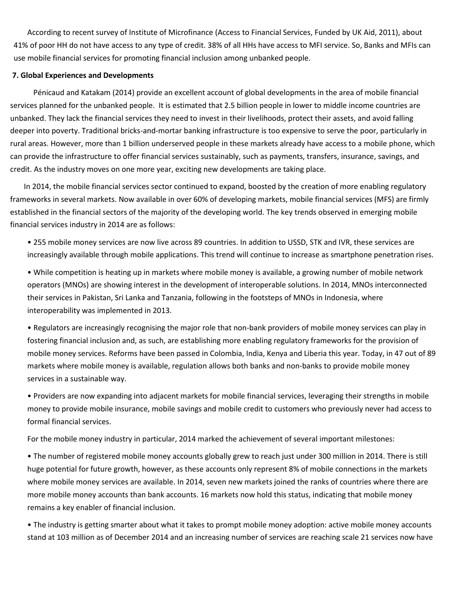According to recent survey of Institute of Microfinance (Access to Financial Services, Funded by UK Aid, 2011), about 41% of poor HH do not have access to any type of credit. 38% of all HHs have access to MFI service. So, Banks and MFIs can use mobile financial services for promoting financial inclusion among unbanked people.

#### **7. Global Experiences and Developments**

 Pénicaud and Katakam (2014) provide an excellent account of global developments in the area of mobile financial services planned for the unbanked people. It is estimated that 2.5 billion people in lower to middle income countries are unbanked. They lack the financial services they need to invest in their livelihoods, protect their assets, and avoid falling deeper into poverty. Traditional bricks-and-mortar banking infrastructure is too expensive to serve the poor, particularly in rural areas. However, more than 1 billion underserved people in these markets already have access to a mobile phone, which can provide the infrastructure to offer financial services sustainably, such as payments, transfers, insurance, savings, and credit. As the industry moves on one more year, exciting new developments are taking place.

In 2014, the mobile financial services sector continued to expand, boosted by the creation of more enabling regulatory frameworks in several markets. Now available in over 60% of developing markets, mobile financial services (MFS) are firmly established in the financial sectors of the majority of the developing world. The key trends observed in emerging mobile financial services industry in 2014 are as follows:

• 255 mobile money services are now live across 89 countries. In addition to USSD, STK and IVR, these services are increasingly available through mobile applications. This trend will continue to increase as smartphone penetration rises.

• While competition is heating up in markets where mobile money is available, a growing number of mobile network operators (MNOs) are showing interest in the development of interoperable solutions. In 2014, MNOs interconnected their services in Pakistan, Sri Lanka and Tanzania, following in the footsteps of MNOs in Indonesia, where interoperability was implemented in 2013.

• Regulators are increasingly recognising the major role that non-bank providers of mobile money services can play in fostering financial inclusion and, as such, are establishing more enabling regulatory frameworks for the provision of mobile money services. Reforms have been passed in Colombia, India, Kenya and Liberia this year. Today, in 47 out of 89 markets where mobile money is available, regulation allows both banks and non-banks to provide mobile money services in a sustainable way.

• Providers are now expanding into adjacent markets for mobile financial services, leveraging their strengths in mobile money to provide mobile insurance, mobile savings and mobile credit to customers who previously never had access to formal financial services.

For the mobile money industry in particular, 2014 marked the achievement of several important milestones:

• The number of registered mobile money accounts globally grew to reach just under 300 million in 2014. There is still huge potential for future growth, however, as these accounts only represent 8% of mobile connections in the markets where mobile money services are available. In 2014, seven new markets joined the ranks of countries where there are more mobile money accounts than bank accounts. 16 markets now hold this status, indicating that mobile money remains a key enabler of financial inclusion.

• The industry is getting smarter about what it takes to prompt mobile money adoption: active mobile money accounts stand at 103 million as of December 2014 and an increasing number of services are reaching scale 21 services now have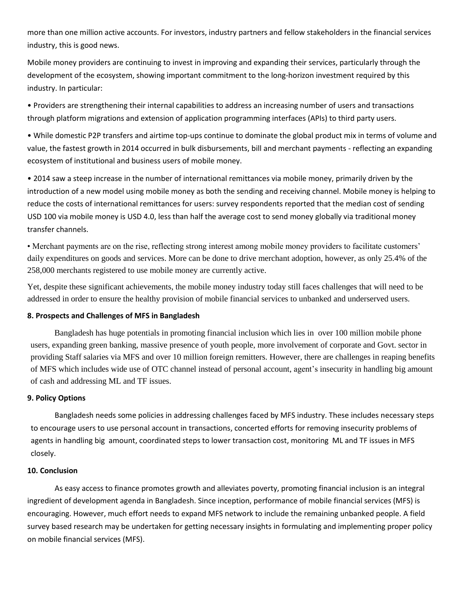more than one million active accounts. For investors, industry partners and fellow stakeholders in the financial services industry, this is good news.

Mobile money providers are continuing to invest in improving and expanding their services, particularly through the development of the ecosystem, showing important commitment to the long-horizon investment required by this industry. In particular:

• Providers are strengthening their internal capabilities to address an increasing number of users and transactions through platform migrations and extension of application programming interfaces (APIs) to third party users.

• While domestic P2P transfers and airtime top-ups continue to dominate the global product mix in terms of volume and value, the fastest growth in 2014 occurred in bulk disbursements, bill and merchant payments - reflecting an expanding ecosystem of institutional and business users of mobile money.

• 2014 saw a steep increase in the number of international remittances via mobile money, primarily driven by the introduction of a new model using mobile money as both the sending and receiving channel. Mobile money is helping to reduce the costs of international remittances for users: survey respondents reported that the median cost of sending USD 100 via mobile money is USD 4.0, less than half the average cost to send money globally via traditional money transfer channels.

• Merchant payments are on the rise, reflecting strong interest among mobile money providers to facilitate customers' daily expenditures on goods and services. More can be done to drive merchant adoption, however, as only 25.4% of the 258,000 merchants registered to use mobile money are currently active.

Yet, despite these significant achievements, the mobile money industry today still faces challenges that will need to be addressed in order to ensure the healthy provision of mobile financial services to unbanked and underserved users.

### **8. Prospects and Challenges of MFS in Bangladesh**

Bangladesh has huge potentials in promoting financial inclusion which lies in over 100 million mobile phone users, expanding green banking, massive presence of youth people, more involvement of corporate and Govt. sector in providing Staff salaries via MFS and over 10 million foreign remitters. However, there are challenges in reaping benefits of MFS which includes wide use of OTC channel instead of personal account, agent's insecurity in handling big amount of cash and addressing ML and TF issues.

#### **9. Policy Options**

Bangladesh needs some policies in addressing challenges faced by MFS industry. These includes necessary steps to encourage users to use personal account in transactions, concerted efforts for removing insecurity problems of agents in handling big amount, coordinated steps to lower transaction cost, monitoring ML and TF issues in MFS closely.

#### **10. Conclusion**

As easy access to finance promotes growth and alleviates poverty, promoting financial inclusion is an integral ingredient of development agenda in Bangladesh. Since inception, performance of mobile financial services (MFS) is encouraging. However, much effort needs to expand MFS network to include the remaining unbanked people. A field survey based research may be undertaken for getting necessary insights in formulating and implementing proper policy on mobile financial services (MFS).